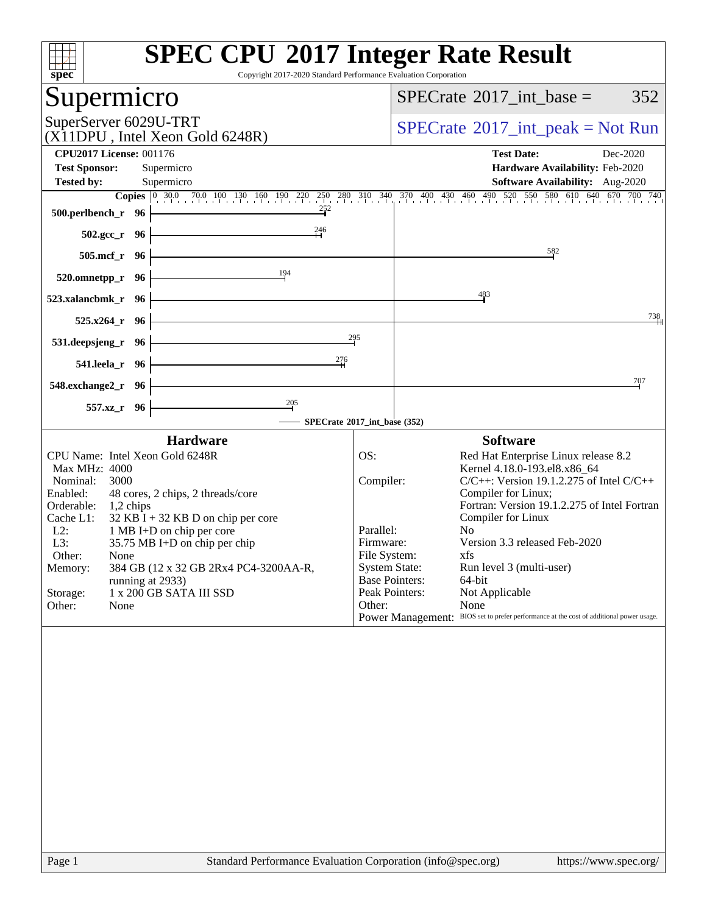| <b>SPEC CPU®2017 Integer Rate Result</b><br>Copyright 2017-2020 Standard Performance Evaluation Corporation<br>$Spec^*$                                                                                                                                                                                                                                                                                                                |                                                                                                                                                                                                                                                                                                                                                                                                                     |                                                                                                                                                                                                                                                                                                                                                                            |  |  |  |  |
|----------------------------------------------------------------------------------------------------------------------------------------------------------------------------------------------------------------------------------------------------------------------------------------------------------------------------------------------------------------------------------------------------------------------------------------|---------------------------------------------------------------------------------------------------------------------------------------------------------------------------------------------------------------------------------------------------------------------------------------------------------------------------------------------------------------------------------------------------------------------|----------------------------------------------------------------------------------------------------------------------------------------------------------------------------------------------------------------------------------------------------------------------------------------------------------------------------------------------------------------------------|--|--|--|--|
| Supermicro                                                                                                                                                                                                                                                                                                                                                                                                                             |                                                                                                                                                                                                                                                                                                                                                                                                                     | $SPECrate^{\circledast}2017\_int\_base =$<br>352                                                                                                                                                                                                                                                                                                                           |  |  |  |  |
| SuperServer 6029U-TRT<br>(X11DPU, Intel Xeon Gold 6248R)                                                                                                                                                                                                                                                                                                                                                                               |                                                                                                                                                                                                                                                                                                                                                                                                                     | $SPECrate^{\circledast}2017\_int\_peak = Not Run$                                                                                                                                                                                                                                                                                                                          |  |  |  |  |
| <b>CPU2017 License: 001176</b>                                                                                                                                                                                                                                                                                                                                                                                                         |                                                                                                                                                                                                                                                                                                                                                                                                                     | <b>Test Date:</b><br>Dec-2020                                                                                                                                                                                                                                                                                                                                              |  |  |  |  |
| <b>Test Sponsor:</b><br>Supermicro                                                                                                                                                                                                                                                                                                                                                                                                     |                                                                                                                                                                                                                                                                                                                                                                                                                     | Hardware Availability: Feb-2020                                                                                                                                                                                                                                                                                                                                            |  |  |  |  |
| <b>Tested by:</b><br>Supermicro                                                                                                                                                                                                                                                                                                                                                                                                        |                                                                                                                                                                                                                                                                                                                                                                                                                     | <b>Software Availability:</b> Aug-2020                                                                                                                                                                                                                                                                                                                                     |  |  |  |  |
| <b>Copies</b> 0 30.0 70.0 100 130 160 190 220 250 280 310 340 370 400 430 460 490 520 550 580 610 640 670 700 740<br>$\frac{252}{4}$<br>500.perlbench_r 96                                                                                                                                                                                                                                                                             |                                                                                                                                                                                                                                                                                                                                                                                                                     |                                                                                                                                                                                                                                                                                                                                                                            |  |  |  |  |
| $^{246}$<br>$502.\text{gcc}_r 96$                                                                                                                                                                                                                                                                                                                                                                                                      |                                                                                                                                                                                                                                                                                                                                                                                                                     |                                                                                                                                                                                                                                                                                                                                                                            |  |  |  |  |
| <u> 1989 - Johann Barn, mars ann an t-Amhain Aonaich an t-Aonaich an t-Aonaich an t-Aonaich an t-Aonaich an t-Aon</u><br>505.mcf_r 96                                                                                                                                                                                                                                                                                                  |                                                                                                                                                                                                                                                                                                                                                                                                                     | 582                                                                                                                                                                                                                                                                                                                                                                        |  |  |  |  |
| $\frac{194}{1}$<br>520.omnetpp_r 96                                                                                                                                                                                                                                                                                                                                                                                                    |                                                                                                                                                                                                                                                                                                                                                                                                                     |                                                                                                                                                                                                                                                                                                                                                                            |  |  |  |  |
| <u> 1989 - Johann Stoff, Amerikaansk politiker (</u><br>$523$ .xalancbmk_r 96                                                                                                                                                                                                                                                                                                                                                          | 483                                                                                                                                                                                                                                                                                                                                                                                                                 |                                                                                                                                                                                                                                                                                                                                                                            |  |  |  |  |
| <u> 1980 - Johann Barn, mars ann an t-Amhain Aonaich an t-Aonaich an t-Aonaich ann an t-Aonaich ann an t-Aonaich</u><br>$525.x264$ <sub>r</sub> 96                                                                                                                                                                                                                                                                                     |                                                                                                                                                                                                                                                                                                                                                                                                                     | 738                                                                                                                                                                                                                                                                                                                                                                        |  |  |  |  |
| 295<br><u> 1989 - Johann Barn, mars ann an t-Amhain Aonaich an t-Aonaich an t-Aonaich ann an t-Aonaich ann an t-Aonaich</u><br>$531.$ deepsjeng_r 96 $\vdash$                                                                                                                                                                                                                                                                          |                                                                                                                                                                                                                                                                                                                                                                                                                     |                                                                                                                                                                                                                                                                                                                                                                            |  |  |  |  |
| 276<br>541.leela_r 96 -                                                                                                                                                                                                                                                                                                                                                                                                                |                                                                                                                                                                                                                                                                                                                                                                                                                     |                                                                                                                                                                                                                                                                                                                                                                            |  |  |  |  |
| <u> 1989 - Johann Barbara, martxa alemaniar a</u><br>$548$ .exchange $2\degree$ r 96                                                                                                                                                                                                                                                                                                                                                   |                                                                                                                                                                                                                                                                                                                                                                                                                     | 707                                                                                                                                                                                                                                                                                                                                                                        |  |  |  |  |
| $\frac{205}{1}$<br>557.xz_r 96<br>SPECrate®2017_int_base (352)                                                                                                                                                                                                                                                                                                                                                                         |                                                                                                                                                                                                                                                                                                                                                                                                                     |                                                                                                                                                                                                                                                                                                                                                                            |  |  |  |  |
| <b>Hardware</b>                                                                                                                                                                                                                                                                                                                                                                                                                        |                                                                                                                                                                                                                                                                                                                                                                                                                     | <b>Software</b>                                                                                                                                                                                                                                                                                                                                                            |  |  |  |  |
| CPU Name: Intel Xeon Gold 6248R<br>Max MHz: 4000<br>Nominal:<br>3000<br>48 cores, 2 chips, 2 threads/core<br>Enabled:<br>Orderable: 1,2 chips<br>Cache L1:<br>$32$ KB I + 32 KB D on chip per core<br>$L2$ :<br>1 MB I+D on chip per core<br>L3:<br>$35.75$ MB I+D on chip per chip<br>Other:<br>None<br>384 GB (12 x 32 GB 2Rx4 PC4-3200AA-R,<br>Memory:<br>running at 2933)<br>1 x 200 GB SATA III SSD<br>Storage:<br>Other:<br>None | OS:<br>Compiler:<br>No<br>Parallel:<br>Firmware:<br>File System:<br>xfs and the set of the set of the set of the set of the set of the set of the set of the set of the set of the set of the set of the set of the set of the set of the set of the set of the set of the set of the set of the s<br><b>System State:</b><br><b>Base Pointers:</b><br>64-bit<br>Peak Pointers:<br>Not Applicable<br>Other:<br>None | Red Hat Enterprise Linux release 8.2<br>Kernel 4.18.0-193.el8.x86_64<br>$C/C++$ : Version 19.1.2.275 of Intel $C/C++$<br>Compiler for Linux;<br>Fortran: Version 19.1.2.275 of Intel Fortran<br>Compiler for Linux<br>Version 3.3 released Feb-2020<br>Run level 3 (multi-user)<br>Power Management: BIOS set to prefer performance at the cost of additional power usage. |  |  |  |  |
|                                                                                                                                                                                                                                                                                                                                                                                                                                        |                                                                                                                                                                                                                                                                                                                                                                                                                     |                                                                                                                                                                                                                                                                                                                                                                            |  |  |  |  |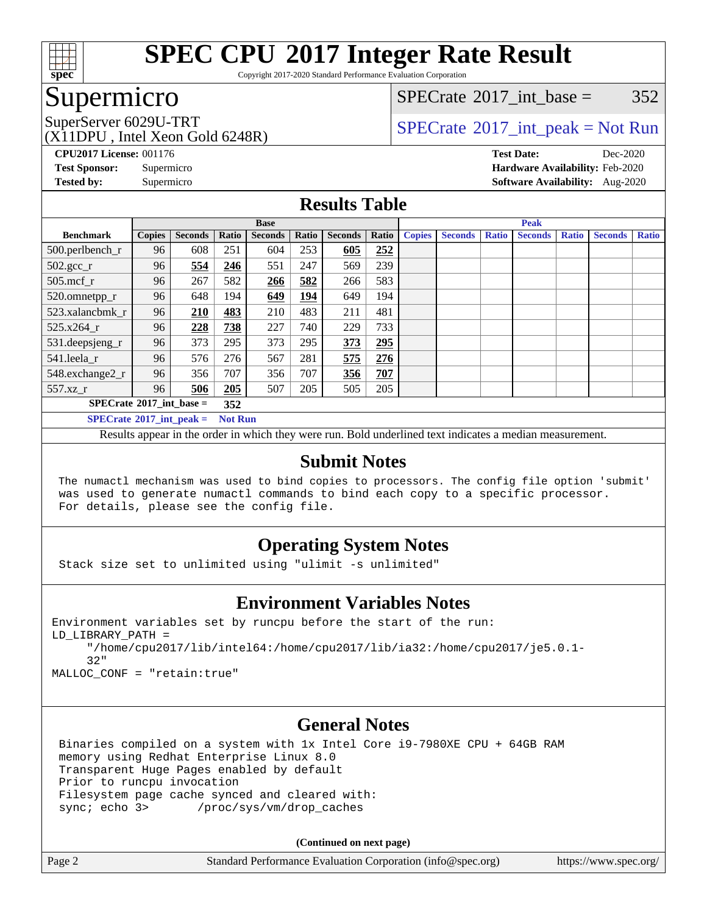

Copyright 2017-2020 Standard Performance Evaluation Corporation

### Supermicro

[SPECrate](http://www.spec.org/auto/cpu2017/Docs/result-fields.html#SPECrate2017intbase)<sup>®</sup>2017 int base =  $352$ 

(X11DPU , Intel Xeon Gold 6248R)

SuperServer 6029U-TRT  $SPECrate^{\circ}2017$  $SPECrate^{\circ}2017$ \_int\_peak = Not Run

**[CPU2017 License:](http://www.spec.org/auto/cpu2017/Docs/result-fields.html#CPU2017License)** 001176 **[Test Date:](http://www.spec.org/auto/cpu2017/Docs/result-fields.html#TestDate)** Dec-2020 **[Test Sponsor:](http://www.spec.org/auto/cpu2017/Docs/result-fields.html#TestSponsor)** Supermicro **[Hardware Availability:](http://www.spec.org/auto/cpu2017/Docs/result-fields.html#HardwareAvailability)** Feb-2020 **[Tested by:](http://www.spec.org/auto/cpu2017/Docs/result-fields.html#Testedby)** Supermicro **[Software Availability:](http://www.spec.org/auto/cpu2017/Docs/result-fields.html#SoftwareAvailability)** Aug-2020

### **[Results Table](http://www.spec.org/auto/cpu2017/Docs/result-fields.html#ResultsTable)**

|                                                       | <b>Base</b>   |                |       |                |       |                | <b>Peak</b> |               |                |              |                |              |                |              |
|-------------------------------------------------------|---------------|----------------|-------|----------------|-------|----------------|-------------|---------------|----------------|--------------|----------------|--------------|----------------|--------------|
| <b>Benchmark</b>                                      | <b>Copies</b> | <b>Seconds</b> | Ratio | <b>Seconds</b> | Ratio | <b>Seconds</b> | Ratio       | <b>Copies</b> | <b>Seconds</b> | <b>Ratio</b> | <b>Seconds</b> | <b>Ratio</b> | <b>Seconds</b> | <b>Ratio</b> |
| 500.perlbench_r                                       | 96            | 608            | 251   | 604            | 253   | 605            | 252         |               |                |              |                |              |                |              |
| $502.\text{sec}$                                      | 96            | 554            | 246   | 551            | 247   | 569            | 239         |               |                |              |                |              |                |              |
| $505$ .mcf r                                          | 96            | 267            | 582   | 266            | 582   | 266            | 583         |               |                |              |                |              |                |              |
| 520.omnetpp_r                                         | 96            | 648            | 194   | 649            | 194   | 649            | 194         |               |                |              |                |              |                |              |
| 523.xalancbmk r                                       | 96            | 210            | 483   | 210            | 483   | 211            | 481         |               |                |              |                |              |                |              |
| 525.x264 r                                            | 96            | 228            | 738   | 227            | 740   | 229            | 733         |               |                |              |                |              |                |              |
| 531.deepsjeng_r                                       | 96            | 373            | 295   | 373            | 295   | 373            | 295         |               |                |              |                |              |                |              |
| 541.leela_r                                           | 96            | 576            | 276   | 567            | 281   | 575            | 276         |               |                |              |                |              |                |              |
| 548.exchange2_r                                       | 96            | 356            | 707   | 356            | 707   | 356            | 707         |               |                |              |                |              |                |              |
| 557.xz r                                              | 96            | 506            | 205   | 507            | 205   | 505            | 205         |               |                |              |                |              |                |              |
| $SPECrate^{\circ}2017\_int\_base =$<br>352            |               |                |       |                |       |                |             |               |                |              |                |              |                |              |
| $SPECrate^{\circ}2017\_int\_peak =$<br><b>Not Run</b> |               |                |       |                |       |                |             |               |                |              |                |              |                |              |

Results appear in the [order in which they were run](http://www.spec.org/auto/cpu2017/Docs/result-fields.html#RunOrder). Bold underlined text [indicates a median measurement](http://www.spec.org/auto/cpu2017/Docs/result-fields.html#Median).

### **[Submit Notes](http://www.spec.org/auto/cpu2017/Docs/result-fields.html#SubmitNotes)**

 The numactl mechanism was used to bind copies to processors. The config file option 'submit' was used to generate numactl commands to bind each copy to a specific processor. For details, please see the config file.

### **[Operating System Notes](http://www.spec.org/auto/cpu2017/Docs/result-fields.html#OperatingSystemNotes)**

Stack size set to unlimited using "ulimit -s unlimited"

### **[Environment Variables Notes](http://www.spec.org/auto/cpu2017/Docs/result-fields.html#EnvironmentVariablesNotes)**

```
Environment variables set by runcpu before the start of the run:
LD_LIBRARY_PATH =
      "/home/cpu2017/lib/intel64:/home/cpu2017/lib/ia32:/home/cpu2017/je5.0.1-
      32"
```
MALLOC\_CONF = "retain:true"

### **[General Notes](http://www.spec.org/auto/cpu2017/Docs/result-fields.html#GeneralNotes)**

 Binaries compiled on a system with 1x Intel Core i9-7980XE CPU + 64GB RAM memory using Redhat Enterprise Linux 8.0 Transparent Huge Pages enabled by default Prior to runcpu invocation Filesystem page cache synced and cleared with: sync; echo 3> /proc/sys/vm/drop\_caches

**(Continued on next page)**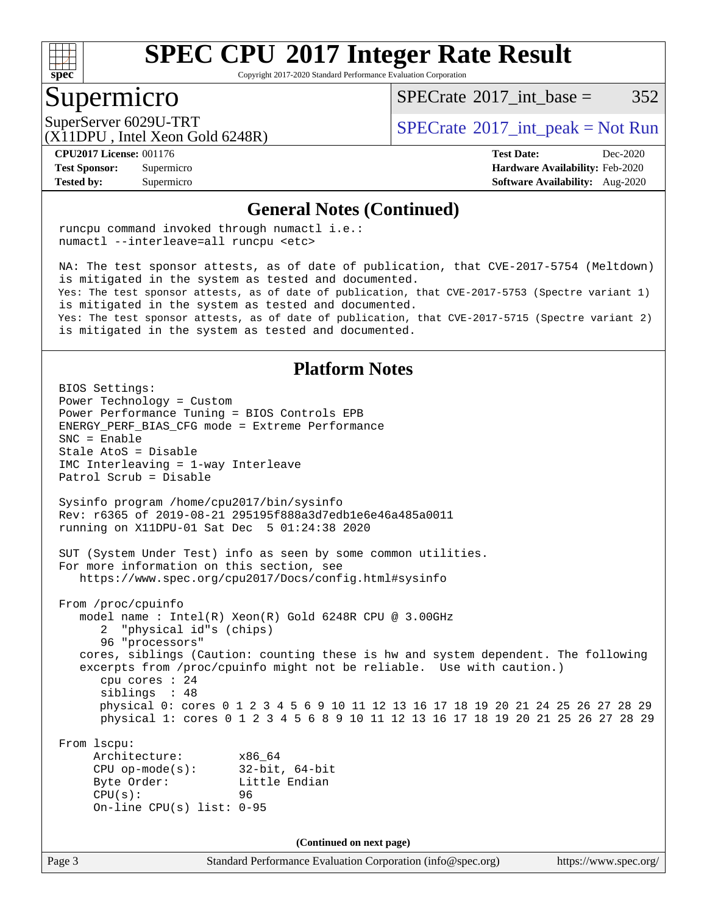

Copyright 2017-2020 Standard Performance Evaluation Corporation

### Supermicro

 $SPECTate^{\circ}2017$  int base = 352

(X11DPU , Intel Xeon Gold 6248R)

SuperServer 6029U-TRT  $S^{2017}$  [SPECrate](http://www.spec.org/auto/cpu2017/Docs/result-fields.html#SPECrate2017intpeak)®[2017\\_int\\_peak = N](http://www.spec.org/auto/cpu2017/Docs/result-fields.html#SPECrate2017intpeak)ot Run

**[Tested by:](http://www.spec.org/auto/cpu2017/Docs/result-fields.html#Testedby)** Supermicro **[Software Availability:](http://www.spec.org/auto/cpu2017/Docs/result-fields.html#SoftwareAvailability)** Aug-2020

**[CPU2017 License:](http://www.spec.org/auto/cpu2017/Docs/result-fields.html#CPU2017License)** 001176 **[Test Date:](http://www.spec.org/auto/cpu2017/Docs/result-fields.html#TestDate)** Dec-2020 **[Test Sponsor:](http://www.spec.org/auto/cpu2017/Docs/result-fields.html#TestSponsor)** Supermicro **[Hardware Availability:](http://www.spec.org/auto/cpu2017/Docs/result-fields.html#HardwareAvailability)** Feb-2020

#### **[General Notes \(Continued\)](http://www.spec.org/auto/cpu2017/Docs/result-fields.html#GeneralNotes)**

 runcpu command invoked through numactl i.e.: numactl --interleave=all runcpu <etc>

 NA: The test sponsor attests, as of date of publication, that CVE-2017-5754 (Meltdown) is mitigated in the system as tested and documented. Yes: The test sponsor attests, as of date of publication, that CVE-2017-5753 (Spectre variant 1) is mitigated in the system as tested and documented. Yes: The test sponsor attests, as of date of publication, that CVE-2017-5715 (Spectre variant 2) is mitigated in the system as tested and documented.

### **[Platform Notes](http://www.spec.org/auto/cpu2017/Docs/result-fields.html#PlatformNotes)**

Page 3 Standard Performance Evaluation Corporation [\(info@spec.org\)](mailto:info@spec.org) <https://www.spec.org/> BIOS Settings: Power Technology = Custom Power Performance Tuning = BIOS Controls EPB ENERGY\_PERF\_BIAS\_CFG mode = Extreme Performance SNC = Enable Stale AtoS = Disable IMC Interleaving = 1-way Interleave Patrol Scrub = Disable Sysinfo program /home/cpu2017/bin/sysinfo Rev: r6365 of 2019-08-21 295195f888a3d7edb1e6e46a485a0011 running on X11DPU-01 Sat Dec 5 01:24:38 2020 SUT (System Under Test) info as seen by some common utilities. For more information on this section, see <https://www.spec.org/cpu2017/Docs/config.html#sysinfo> From /proc/cpuinfo model name : Intel(R) Xeon(R) Gold 6248R CPU @ 3.00GHz 2 "physical id"s (chips) 96 "processors" cores, siblings (Caution: counting these is hw and system dependent. The following excerpts from /proc/cpuinfo might not be reliable. Use with caution.) cpu cores : 24 siblings : 48 physical 0: cores 0 1 2 3 4 5 6 9 10 11 12 13 16 17 18 19 20 21 24 25 26 27 28 29 physical 1: cores 0 1 2 3 4 5 6 8 9 10 11 12 13 16 17 18 19 20 21 25 26 27 28 29 From lscpu: Architecture: x86\_64 CPU op-mode(s): 32-bit, 64-bit Byte Order: Little Endian CPU(s): 96 On-line CPU(s) list: 0-95 **(Continued on next page)**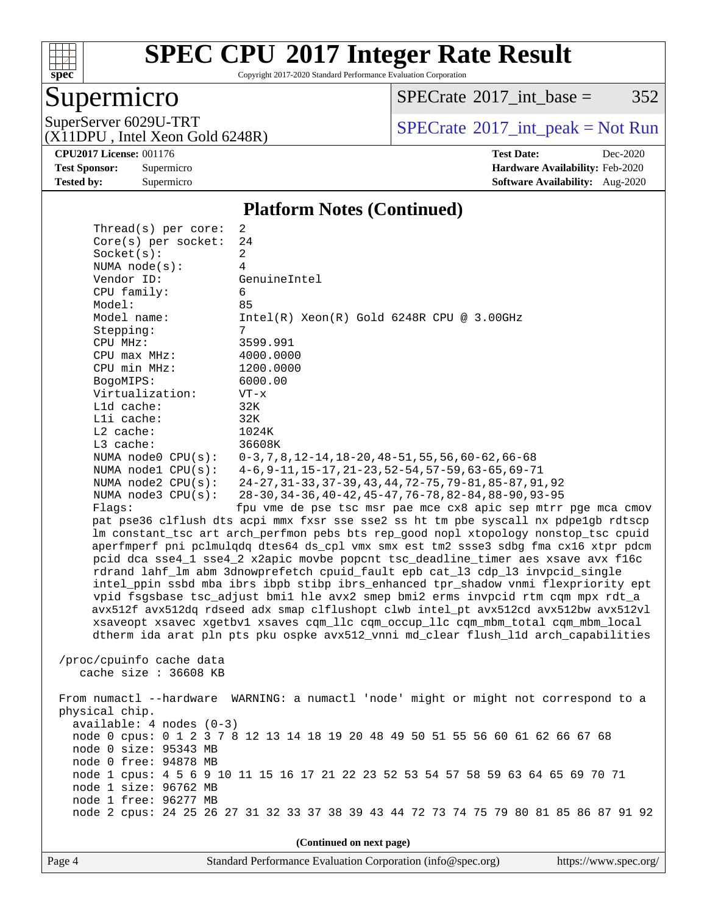

Copyright 2017-2020 Standard Performance Evaluation Corporation

### Supermicro

 $SPECTate@2017_int\_base = 352$ 

(X11DPU , Intel Xeon Gold 6248R)

SuperServer 6029U-TRT <br>(X11DPU Intel Xeon Gold 6248R) [SPECrate](http://www.spec.org/auto/cpu2017/Docs/result-fields.html#SPECrate2017intpeak)®[2017\\_int\\_peak = N](http://www.spec.org/auto/cpu2017/Docs/result-fields.html#SPECrate2017intpeak)ot Run

**[Tested by:](http://www.spec.org/auto/cpu2017/Docs/result-fields.html#Testedby)** Supermicro **Supermicro [Software Availability:](http://www.spec.org/auto/cpu2017/Docs/result-fields.html#SoftwareAvailability)** Aug-2020

**[CPU2017 License:](http://www.spec.org/auto/cpu2017/Docs/result-fields.html#CPU2017License)** 001176 **[Test Date:](http://www.spec.org/auto/cpu2017/Docs/result-fields.html#TestDate)** Dec-2020 **[Test Sponsor:](http://www.spec.org/auto/cpu2017/Docs/result-fields.html#TestSponsor)** Supermicro **[Hardware Availability:](http://www.spec.org/auto/cpu2017/Docs/result-fields.html#HardwareAvailability)** Feb-2020

#### **[Platform Notes \(Continued\)](http://www.spec.org/auto/cpu2017/Docs/result-fields.html#PlatformNotes)**

| Thread(s) per core:                                                            | 2                                                                                    |  |  |  |  |  |
|--------------------------------------------------------------------------------|--------------------------------------------------------------------------------------|--|--|--|--|--|
| Core(s) per socket:                                                            | 24                                                                                   |  |  |  |  |  |
| Socket(s):                                                                     | 2                                                                                    |  |  |  |  |  |
| NUMA $node(s):$                                                                | 4                                                                                    |  |  |  |  |  |
| Vendor ID:                                                                     | GenuineIntel                                                                         |  |  |  |  |  |
| CPU family:                                                                    | 6                                                                                    |  |  |  |  |  |
| Model:                                                                         | 85                                                                                   |  |  |  |  |  |
| Model name:                                                                    | $Intel(R) Xeon(R) Gold 6248R CPU @ 3.00GHz$                                          |  |  |  |  |  |
| Stepping:                                                                      | 7                                                                                    |  |  |  |  |  |
| CPU MHz:                                                                       | 3599.991                                                                             |  |  |  |  |  |
| $CPU$ max $MHz$ :                                                              | 4000.0000                                                                            |  |  |  |  |  |
| CPU min MHz:                                                                   | 1200.0000                                                                            |  |  |  |  |  |
| BogoMIPS:                                                                      | 6000.00                                                                              |  |  |  |  |  |
| Virtualization:<br>L1d cache:                                                  | $VT - x$<br>32K                                                                      |  |  |  |  |  |
| Lli cache:                                                                     | 32K                                                                                  |  |  |  |  |  |
| $L2$ cache:                                                                    | 1024K                                                                                |  |  |  |  |  |
| L3 cache:                                                                      | 36608K                                                                               |  |  |  |  |  |
| NUMA node0 CPU(s):                                                             | $0-3, 7, 8, 12-14, 18-20, 48-51, 55, 56, 60-62, 66-68$                               |  |  |  |  |  |
| NUMA $node1$ $CPU(s)$ :                                                        | $4-6, 9-11, 15-17, 21-23, 52-54, 57-59, 63-65, 69-71$                                |  |  |  |  |  |
| NUMA $node2$ $CPU(s):$                                                         | 24-27, 31-33, 37-39, 43, 44, 72-75, 79-81, 85-87, 91, 92                             |  |  |  |  |  |
| NUMA $node3$ $CPU(s)$ :                                                        | 28-30, 34-36, 40-42, 45-47, 76-78, 82-84, 88-90, 93-95                               |  |  |  |  |  |
| Flaqs:                                                                         | fpu vme de pse tsc msr pae mce cx8 apic sep mtrr pge mca cmov                        |  |  |  |  |  |
|                                                                                | pat pse36 clflush dts acpi mmx fxsr sse sse2 ss ht tm pbe syscall nx pdpelgb rdtscp  |  |  |  |  |  |
|                                                                                | lm constant_tsc art arch_perfmon pebs bts rep_good nopl xtopology nonstop_tsc cpuid  |  |  |  |  |  |
|                                                                                | aperfmperf pni pclmulqdq dtes64 ds_cpl vmx smx est tm2 ssse3 sdbg fma cx16 xtpr pdcm |  |  |  |  |  |
|                                                                                | pcid dca sse4_1 sse4_2 x2apic movbe popcnt tsc_deadline_timer aes xsave avx f16c     |  |  |  |  |  |
|                                                                                | rdrand lahf_lm abm 3dnowprefetch cpuid_fault epb cat_13 cdp_13 invpcid_single        |  |  |  |  |  |
|                                                                                | intel_ppin ssbd mba ibrs ibpb stibp ibrs_enhanced tpr_shadow vnmi flexpriority ept   |  |  |  |  |  |
|                                                                                | vpid fsgsbase tsc_adjust bmil hle avx2 smep bmi2 erms invpcid rtm cqm mpx rdt_a      |  |  |  |  |  |
|                                                                                | avx512f avx512dq rdseed adx smap clflushopt clwb intel_pt avx512cd avx512bw avx512vl |  |  |  |  |  |
|                                                                                | xsaveopt xsavec xgetbvl xsaves cqm_llc cqm_occup_llc cqm_mbm_total cqm_mbm_local     |  |  |  |  |  |
|                                                                                | dtherm ida arat pln pts pku ospke avx512_vnni md_clear flush_lld arch_capabilities   |  |  |  |  |  |
|                                                                                |                                                                                      |  |  |  |  |  |
| /proc/cpuinfo cache data                                                       |                                                                                      |  |  |  |  |  |
| cache size $: 36608$ KB                                                        |                                                                                      |  |  |  |  |  |
|                                                                                |                                                                                      |  |  |  |  |  |
|                                                                                | From numactl --hardware WARNING: a numactl 'node' might or might not correspond to a |  |  |  |  |  |
| physical chip.                                                                 |                                                                                      |  |  |  |  |  |
| $available: 4 nodes (0-3)$                                                     |                                                                                      |  |  |  |  |  |
| node 0 cpus: 0 1 2 3 7 8 12 13 14 18 19 20 48 49 50 51 55 56 60 61 62 66 67 68 |                                                                                      |  |  |  |  |  |
| node 0 size: 95343 MB                                                          |                                                                                      |  |  |  |  |  |
| node 0 free: 94878 MB                                                          |                                                                                      |  |  |  |  |  |
|                                                                                | node 1 cpus: 4 5 6 9 10 11 15 16 17 21 22 23 52 53 54 57 58 59 63 64 65 69 70 71     |  |  |  |  |  |
| node 1 size: 96762 MB                                                          |                                                                                      |  |  |  |  |  |
| node 1 free: 96277 MB                                                          |                                                                                      |  |  |  |  |  |
|                                                                                | node 2 cpus: 24 25 26 27 31 32 33 37 38 39 43 44 72 73 74 75 79 80 81 85 86 87 91 92 |  |  |  |  |  |
|                                                                                |                                                                                      |  |  |  |  |  |
| (Continued on next page)                                                       |                                                                                      |  |  |  |  |  |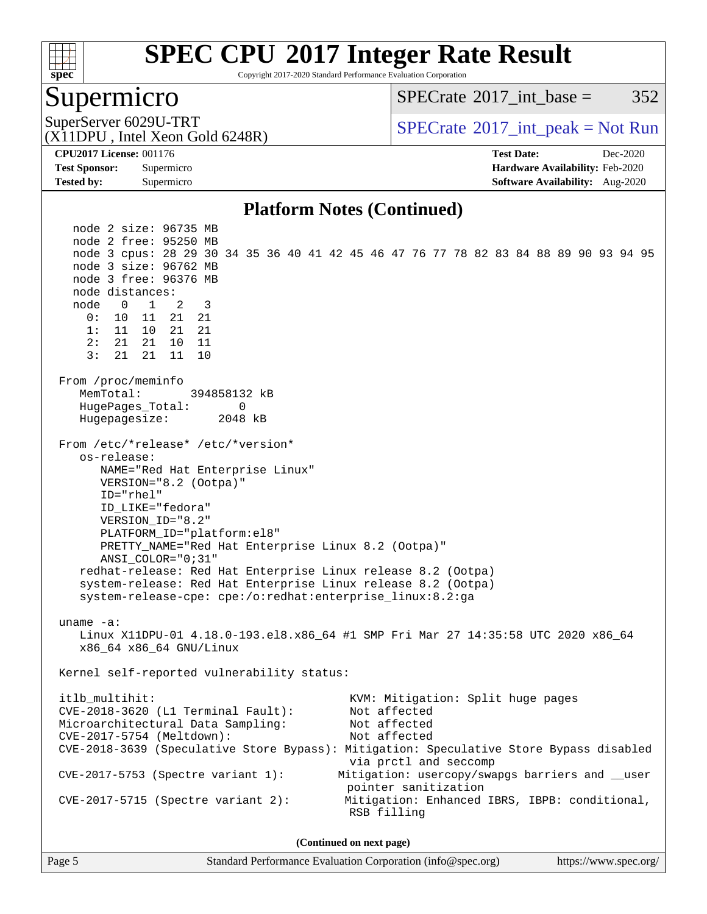

Copyright 2017-2020 Standard Performance Evaluation Corporation

### Supermicro

 $SPECTate^{\circ}2017$  int base = 352

(X11DPU , Intel Xeon Gold 6248R)

SuperServer 6029U-TRT  $SPECrate^{\circ}2017$  $SPECrate^{\circ}2017$ \_int\_peak = Not Run

**[Tested by:](http://www.spec.org/auto/cpu2017/Docs/result-fields.html#Testedby)** Supermicro **[Software Availability:](http://www.spec.org/auto/cpu2017/Docs/result-fields.html#SoftwareAvailability)** Aug-2020

**[CPU2017 License:](http://www.spec.org/auto/cpu2017/Docs/result-fields.html#CPU2017License)** 001176 **[Test Date:](http://www.spec.org/auto/cpu2017/Docs/result-fields.html#TestDate)** Dec-2020 **[Test Sponsor:](http://www.spec.org/auto/cpu2017/Docs/result-fields.html#TestSponsor)** Supermicro **[Hardware Availability:](http://www.spec.org/auto/cpu2017/Docs/result-fields.html#HardwareAvailability)** Feb-2020

### **[Platform Notes \(Continued\)](http://www.spec.org/auto/cpu2017/Docs/result-fields.html#PlatformNotes)**

 node 2 size: 96735 MB node 2 free: 95250 MB node 3 cpus: 28 29 30 34 35 36 40 41 42 45 46 47 76 77 78 82 83 84 88 89 90 93 94 95 node 3 size: 96762 MB node 3 free: 96376 MB node distances: node 0 1 2 3 0: 10 11 21 21 1: 11 10 21 21 2: 21 21 10 11 3: 21 21 11 10 From /proc/meminfo MemTotal: 394858132 kB HugePages\_Total: 0 Hugepagesize: 2048 kB From /etc/\*release\* /etc/\*version\* os-release: NAME="Red Hat Enterprise Linux" VERSION="8.2 (Ootpa)" ID="rhel" ID\_LIKE="fedora" VERSION\_ID="8.2" PLATFORM\_ID="platform:el8" PRETTY\_NAME="Red Hat Enterprise Linux 8.2 (Ootpa)" ANSI\_COLOR="0;31" redhat-release: Red Hat Enterprise Linux release 8.2 (Ootpa) system-release: Red Hat Enterprise Linux release 8.2 (Ootpa) system-release-cpe: cpe:/o:redhat:enterprise\_linux:8.2:ga uname -a: Linux X11DPU-01 4.18.0-193.el8.x86\_64 #1 SMP Fri Mar 27 14:35:58 UTC 2020 x86\_64 x86\_64 x86\_64 GNU/Linux Kernel self-reported vulnerability status: itlb\_multihit: KVM: Mitigation: Split huge pages<br>CVE-2018-3620 (L1 Terminal Fault): Not affected  $CVE-2018-3620$  (L1 Terminal Fault): Microarchitectural Data Sampling: Not affected CVE-2017-5754 (Meltdown): Not affected CVE-2018-3639 (Speculative Store Bypass): Mitigation: Speculative Store Bypass disabled via prctl and seccomp CVE-2017-5753 (Spectre variant 1): Mitigation: usercopy/swapgs barriers and \_\_user pointer sanitization CVE-2017-5715 (Spectre variant 2): Mitigation: Enhanced IBRS, IBPB: conditional, RSB filling **(Continued on next page)**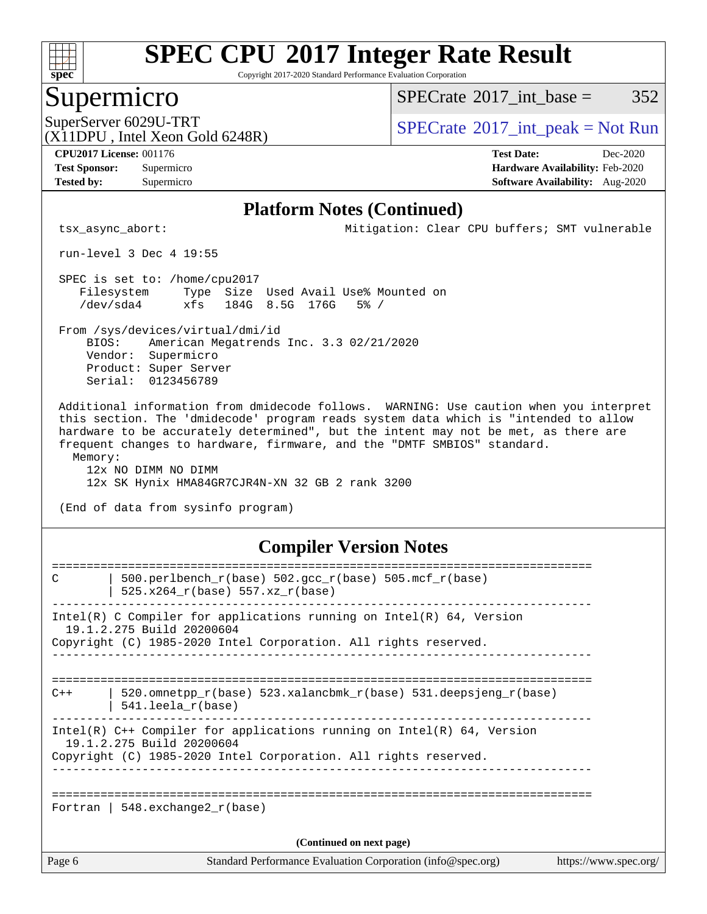

Copyright 2017-2020 Standard Performance Evaluation Corporation

### Supermicro

 $SPECTate@2017\_int\_base = 352$ 

(X11DPU , Intel Xeon Gold 6248R)

SuperServer 6029U-TRT  $S^{2017}$  [SPECrate](http://www.spec.org/auto/cpu2017/Docs/result-fields.html#SPECrate2017intpeak)®[2017\\_int\\_peak = N](http://www.spec.org/auto/cpu2017/Docs/result-fields.html#SPECrate2017intpeak)ot Run

**[Tested by:](http://www.spec.org/auto/cpu2017/Docs/result-fields.html#Testedby)** Supermicro **[Software Availability:](http://www.spec.org/auto/cpu2017/Docs/result-fields.html#SoftwareAvailability)** Aug-2020

**[CPU2017 License:](http://www.spec.org/auto/cpu2017/Docs/result-fields.html#CPU2017License)** 001176 **[Test Date:](http://www.spec.org/auto/cpu2017/Docs/result-fields.html#TestDate)** Dec-2020 **[Test Sponsor:](http://www.spec.org/auto/cpu2017/Docs/result-fields.html#TestSponsor)** Supermicro **[Hardware Availability:](http://www.spec.org/auto/cpu2017/Docs/result-fields.html#HardwareAvailability)** Feb-2020

#### **[Platform Notes \(Continued\)](http://www.spec.org/auto/cpu2017/Docs/result-fields.html#PlatformNotes)**

tsx\_async\_abort: Mitigation: Clear CPU buffers; SMT vulnerable

run-level 3 Dec 4 19:55

 SPEC is set to: /home/cpu2017 Filesystem Type Size Used Avail Use% Mounted on /dev/sda4 xfs 184G 8.5G 176G 5% /

 From /sys/devices/virtual/dmi/id BIOS: American Megatrends Inc. 3.3 02/21/2020 Vendor: Supermicro Product: Super Server Serial: 0123456789

 Additional information from dmidecode follows. WARNING: Use caution when you interpret this section. The 'dmidecode' program reads system data which is "intended to allow hardware to be accurately determined", but the intent may not be met, as there are frequent changes to hardware, firmware, and the "DMTF SMBIOS" standard. Memory:

 12x NO DIMM NO DIMM 12x SK Hynix HMA84GR7CJR4N-XN 32 GB 2 rank 3200

(End of data from sysinfo program)

### **[Compiler Version Notes](http://www.spec.org/auto/cpu2017/Docs/result-fields.html#CompilerVersionNotes)**

| C      | 500.perlbench_r(base) 502.gcc_r(base) 505.mcf_r(base)                                                 |                       |
|--------|-------------------------------------------------------------------------------------------------------|-----------------------|
|        | 525.x264 r(base) 557.xz r(base)                                                                       |                       |
|        | Intel(R) C Compiler for applications running on Intel(R) $64$ , Version                               |                       |
|        | 19.1.2.275 Build 20200604<br>Copyright (C) 1985-2020 Intel Corporation. All rights reserved.          |                       |
|        |                                                                                                       |                       |
| $C++$  | 520.omnetpp $r(base)$ 523.xalancbmk $r(base)$ 531.deepsjeng $r(base)$<br>$541.$ leela $r(base)$       |                       |
|        | Intel(R) $C++$ Compiler for applications running on Intel(R) 64, Version<br>19.1.2.275 Build 20200604 |                       |
|        | Copyright (C) 1985-2020 Intel Corporation. All rights reserved.                                       |                       |
|        |                                                                                                       |                       |
|        | Fortran   548.exchange2 $r(base)$                                                                     |                       |
|        | (Continued on next page)                                                                              |                       |
| Page 6 | Standard Performance Evaluation Corporation (info@spec.org)                                           | https://www.spec.org/ |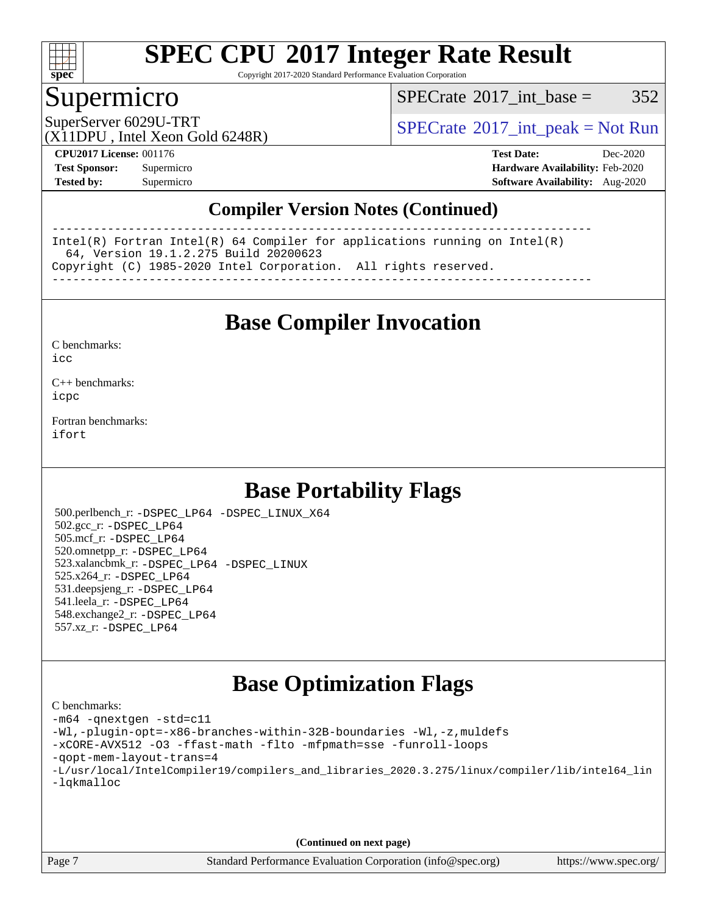

Copyright 2017-2020 Standard Performance Evaluation Corporation

### Supermicro

 $SPECTate@2017\_int\_base = 352$ 

SuperServer 6029U-TRT  $S^{2017}$  [SPECrate](http://www.spec.org/auto/cpu2017/Docs/result-fields.html#SPECrate2017intpeak)®[2017\\_int\\_peak = N](http://www.spec.org/auto/cpu2017/Docs/result-fields.html#SPECrate2017intpeak)ot Run

(X11DPU , Intel Xeon Gold 6248R)

**[CPU2017 License:](http://www.spec.org/auto/cpu2017/Docs/result-fields.html#CPU2017License)** 001176 **[Test Date:](http://www.spec.org/auto/cpu2017/Docs/result-fields.html#TestDate)** Dec-2020 **[Test Sponsor:](http://www.spec.org/auto/cpu2017/Docs/result-fields.html#TestSponsor)** Supermicro **[Hardware Availability:](http://www.spec.org/auto/cpu2017/Docs/result-fields.html#HardwareAvailability)** Feb-2020 **[Tested by:](http://www.spec.org/auto/cpu2017/Docs/result-fields.html#Testedby)** Supermicro **[Software Availability:](http://www.spec.org/auto/cpu2017/Docs/result-fields.html#SoftwareAvailability)** Aug-2020

### **[Compiler Version Notes \(Continued\)](http://www.spec.org/auto/cpu2017/Docs/result-fields.html#CompilerVersionNotes)**

------------------------------------------------------------------------------ Intel(R) Fortran Intel(R) 64 Compiler for applications running on Intel(R) 64, Version 19.1.2.275 Build 20200623 Copyright (C) 1985-2020 Intel Corporation. All rights reserved. ------------------------------------------------------------------------------

**[Base Compiler Invocation](http://www.spec.org/auto/cpu2017/Docs/result-fields.html#BaseCompilerInvocation)**

[C benchmarks](http://www.spec.org/auto/cpu2017/Docs/result-fields.html#Cbenchmarks):  $i$ cc

[C++ benchmarks:](http://www.spec.org/auto/cpu2017/Docs/result-fields.html#CXXbenchmarks) [icpc](http://www.spec.org/cpu2017/results/res2020q4/cpu2017-20201207-24566.flags.html#user_CXXbase_intel_icpc_c510b6838c7f56d33e37e94d029a35b4a7bccf4766a728ee175e80a419847e808290a9b78be685c44ab727ea267ec2f070ec5dc83b407c0218cded6866a35d07)

[Fortran benchmarks](http://www.spec.org/auto/cpu2017/Docs/result-fields.html#Fortranbenchmarks): [ifort](http://www.spec.org/cpu2017/results/res2020q4/cpu2017-20201207-24566.flags.html#user_FCbase_intel_ifort_8111460550e3ca792625aed983ce982f94888b8b503583aa7ba2b8303487b4d8a21a13e7191a45c5fd58ff318f48f9492884d4413fa793fd88dd292cad7027ca)

### **[Base Portability Flags](http://www.spec.org/auto/cpu2017/Docs/result-fields.html#BasePortabilityFlags)**

 500.perlbench\_r: [-DSPEC\\_LP64](http://www.spec.org/cpu2017/results/res2020q4/cpu2017-20201207-24566.flags.html#b500.perlbench_r_basePORTABILITY_DSPEC_LP64) [-DSPEC\\_LINUX\\_X64](http://www.spec.org/cpu2017/results/res2020q4/cpu2017-20201207-24566.flags.html#b500.perlbench_r_baseCPORTABILITY_DSPEC_LINUX_X64) 502.gcc\_r: [-DSPEC\\_LP64](http://www.spec.org/cpu2017/results/res2020q4/cpu2017-20201207-24566.flags.html#suite_basePORTABILITY502_gcc_r_DSPEC_LP64) 505.mcf\_r: [-DSPEC\\_LP64](http://www.spec.org/cpu2017/results/res2020q4/cpu2017-20201207-24566.flags.html#suite_basePORTABILITY505_mcf_r_DSPEC_LP64) 520.omnetpp\_r: [-DSPEC\\_LP64](http://www.spec.org/cpu2017/results/res2020q4/cpu2017-20201207-24566.flags.html#suite_basePORTABILITY520_omnetpp_r_DSPEC_LP64) 523.xalancbmk\_r: [-DSPEC\\_LP64](http://www.spec.org/cpu2017/results/res2020q4/cpu2017-20201207-24566.flags.html#suite_basePORTABILITY523_xalancbmk_r_DSPEC_LP64) [-DSPEC\\_LINUX](http://www.spec.org/cpu2017/results/res2020q4/cpu2017-20201207-24566.flags.html#b523.xalancbmk_r_baseCXXPORTABILITY_DSPEC_LINUX) 525.x264\_r: [-DSPEC\\_LP64](http://www.spec.org/cpu2017/results/res2020q4/cpu2017-20201207-24566.flags.html#suite_basePORTABILITY525_x264_r_DSPEC_LP64) 531.deepsjeng\_r: [-DSPEC\\_LP64](http://www.spec.org/cpu2017/results/res2020q4/cpu2017-20201207-24566.flags.html#suite_basePORTABILITY531_deepsjeng_r_DSPEC_LP64) 541.leela\_r: [-DSPEC\\_LP64](http://www.spec.org/cpu2017/results/res2020q4/cpu2017-20201207-24566.flags.html#suite_basePORTABILITY541_leela_r_DSPEC_LP64) 548.exchange2\_r: [-DSPEC\\_LP64](http://www.spec.org/cpu2017/results/res2020q4/cpu2017-20201207-24566.flags.html#suite_basePORTABILITY548_exchange2_r_DSPEC_LP64) 557.xz\_r: [-DSPEC\\_LP64](http://www.spec.org/cpu2017/results/res2020q4/cpu2017-20201207-24566.flags.html#suite_basePORTABILITY557_xz_r_DSPEC_LP64)

### **[Base Optimization Flags](http://www.spec.org/auto/cpu2017/Docs/result-fields.html#BaseOptimizationFlags)**

[C benchmarks](http://www.spec.org/auto/cpu2017/Docs/result-fields.html#Cbenchmarks): [-m64](http://www.spec.org/cpu2017/results/res2020q4/cpu2017-20201207-24566.flags.html#user_CCbase_m64-icc) [-qnextgen](http://www.spec.org/cpu2017/results/res2020q4/cpu2017-20201207-24566.flags.html#user_CCbase_f-qnextgen) [-std=c11](http://www.spec.org/cpu2017/results/res2020q4/cpu2017-20201207-24566.flags.html#user_CCbase_std-icc-std_0e1c27790398a4642dfca32ffe6c27b5796f9c2d2676156f2e42c9c44eaad0c049b1cdb667a270c34d979996257aeb8fc440bfb01818dbc9357bd9d174cb8524) [-Wl,-plugin-opt=-x86-branches-within-32B-boundaries](http://www.spec.org/cpu2017/results/res2020q4/cpu2017-20201207-24566.flags.html#user_CCbase_f-x86-branches-within-32B-boundaries_0098b4e4317ae60947b7b728078a624952a08ac37a3c797dfb4ffeb399e0c61a9dd0f2f44ce917e9361fb9076ccb15e7824594512dd315205382d84209e912f3) [-Wl,-z,muldefs](http://www.spec.org/cpu2017/results/res2020q4/cpu2017-20201207-24566.flags.html#user_CCbase_link_force_multiple1_b4cbdb97b34bdee9ceefcfe54f4c8ea74255f0b02a4b23e853cdb0e18eb4525ac79b5a88067c842dd0ee6996c24547a27a4b99331201badda8798ef8a743f577) [-xCORE-AVX512](http://www.spec.org/cpu2017/results/res2020q4/cpu2017-20201207-24566.flags.html#user_CCbase_f-xCORE-AVX512) [-O3](http://www.spec.org/cpu2017/results/res2020q4/cpu2017-20201207-24566.flags.html#user_CCbase_f-O3) [-ffast-math](http://www.spec.org/cpu2017/results/res2020q4/cpu2017-20201207-24566.flags.html#user_CCbase_f-ffast-math) [-flto](http://www.spec.org/cpu2017/results/res2020q4/cpu2017-20201207-24566.flags.html#user_CCbase_f-flto) [-mfpmath=sse](http://www.spec.org/cpu2017/results/res2020q4/cpu2017-20201207-24566.flags.html#user_CCbase_f-mfpmath_70eb8fac26bde974f8ab713bc9086c5621c0b8d2f6c86f38af0bd7062540daf19db5f3a066d8c6684be05d84c9b6322eb3b5be6619d967835195b93d6c02afa1) [-funroll-loops](http://www.spec.org/cpu2017/results/res2020q4/cpu2017-20201207-24566.flags.html#user_CCbase_f-funroll-loops) [-qopt-mem-layout-trans=4](http://www.spec.org/cpu2017/results/res2020q4/cpu2017-20201207-24566.flags.html#user_CCbase_f-qopt-mem-layout-trans_fa39e755916c150a61361b7846f310bcdf6f04e385ef281cadf3647acec3f0ae266d1a1d22d972a7087a248fd4e6ca390a3634700869573d231a252c784941a8) [-L/usr/local/IntelCompiler19/compilers\\_and\\_libraries\\_2020.3.275/linux/compiler/lib/intel64\\_lin](http://www.spec.org/cpu2017/results/res2020q4/cpu2017-20201207-24566.flags.html#user_CCbase_linkpath_6eb3b1b8be403820338b5b82e7a1c217a861a8962ac718a6253be1483b50620487664a39a847caf560d84a6b8bab7cca33d9f414525a12ede1e9473db34a3d08) [-lqkmalloc](http://www.spec.org/cpu2017/results/res2020q4/cpu2017-20201207-24566.flags.html#user_CCbase_qkmalloc_link_lib_79a818439969f771c6bc311cfd333c00fc099dad35c030f5aab9dda831713d2015205805422f83de8875488a2991c0a156aaa600e1f9138f8fc37004abc96dc5)

**(Continued on next page)**

Page 7 Standard Performance Evaluation Corporation [\(info@spec.org\)](mailto:info@spec.org) <https://www.spec.org/>